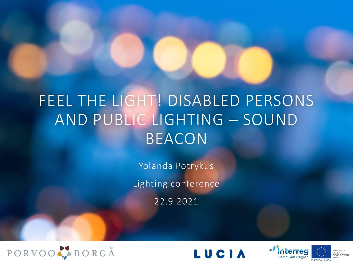#### FEEL THE LIGHT! DISABLED PERSONS AND PUBLIC LIGHTING – SOUND BEACON

Yolanda Potrykus

Lighting conference

22.9.2021





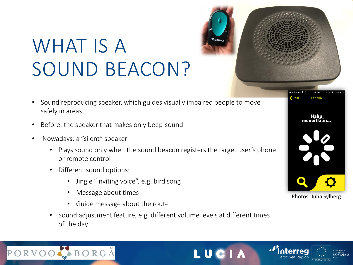# WHAT IS A SOUND BEACON?

- Sound reproducing speaker, which guides visually impaired people to move safely in areas
- Before: the speaker that makes only beep-sound
- Nowadays: a "silent" speaker
	- Plays sound only when the sound beacon registers the target user's phone or remote control
	- Different sound options:
		- Jingle "inviting voice", e.g. bird song
		- Message about times
		- Guide message about the route
	- Sound adjustment feature, e.g. different volume levels at different times of the day





Photos: Juha Sylberg







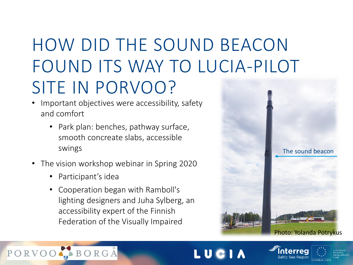## HOW DID THE SOUND BEACON FOUND ITS WAY TO LUCIA-PILOT SITE IN PORVOO?

- Important objectives were accessibility, safety and comfort
	- Park plan: benches, pathway surface, smooth concreate slabs, accessible swings
- The vision workshop webinar in Spring 2020
	- Participant's idea

 $QDVOQ$ on master page

• Cooperation began with Ramboll's lighting designers and Juha Sylberg, an accessibility expert of the Finnish Federation of the Visually Impaired



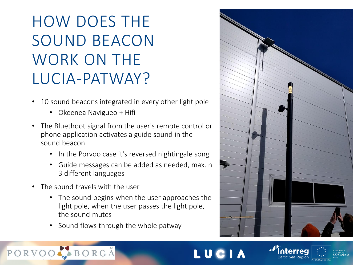### HOW DOES THE SOUND BEACON WORK ON THE LUCIA-PATWAY?

- 10 sound beacons integrated in every other light pole
	- Okeenea Navigueo + Hifi
- The Bluethoot signal from the user's remote control or phone application activates a guide sound in the sound beacon
	- In the Porvoo case it's reversed nightingale song
	- Guide messages can be added as needed, max. n 3 different languages
- The sound travels with the user

 $OPVOO$ on v ou

- The sound begins when the user approaches the light pole, when the user passes the light pole, the sound mutes
- Sound flows through the whole patway